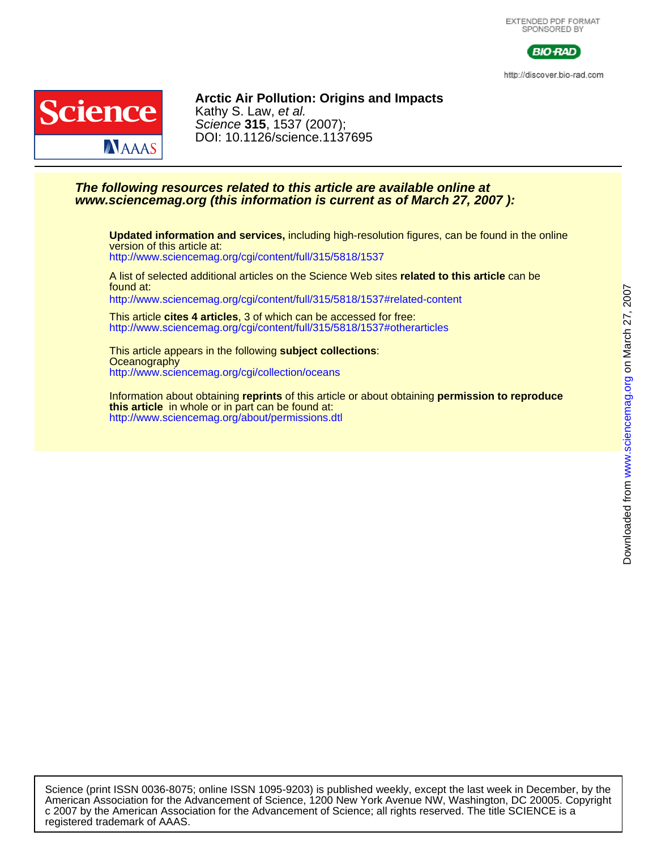

http://discover.bio-rad.com



DOI: 10.1126/science.1137695 Science **315**, 1537 (2007); Kathy S. Law, et al. **Arctic Air Pollution: Origins and Impacts**

# **www.sciencemag.org (this information is current as of March 27, 2007 ): The following resources related to this article are available online at**

<http://www.sciencemag.org/cgi/content/full/315/5818/1537> version of this article at: **Updated information and services,** including high-resolution figures, can be found in the online

found at: A list of selected additional articles on the Science Web sites **related to this article** can be

<http://www.sciencemag.org/cgi/content/full/315/5818/1537#related-content>

<http://www.sciencemag.org/cgi/content/full/315/5818/1537#otherarticles> This article **cites 4 articles**, 3 of which can be accessed for free:

<http://www.sciencemag.org/cgi/collection/oceans> **Oceanography** This article appears in the following **subject collections**:

<http://www.sciencemag.org/about/permissions.dtl> **this article** in whole or in part can be found at: Information about obtaining **reprints** of this article or about obtaining **permission to reproduce**

registered trademark of AAAS. c 2007 by the American Association for the Advancement of Science; all rights reserved. The title SCIENCE is a American Association for the Advancement of Science, 1200 New York Avenue NW, Washington, DC 20005. Copyright Science (print ISSN 0036-8075; online ISSN 1095-9203) is published weekly, except the last week in December, by the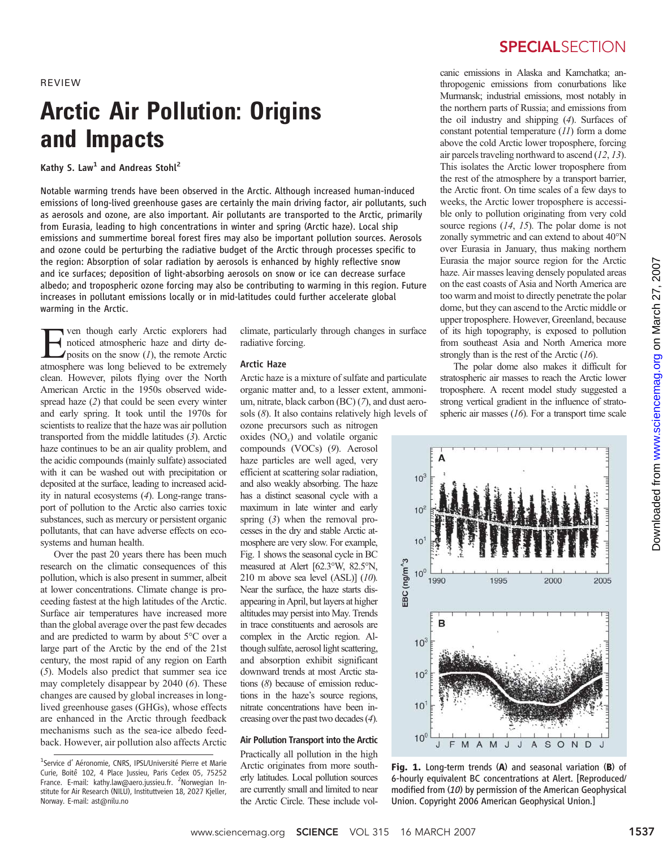REVIEW

# Arctic Air Pollution: Origins and Impacts

Kathy S. Law<sup>1</sup> and Andreas Stohl<sup>2</sup>

Notable warming trends have been observed in the Arctic. Although increased human-induced emissions of long-lived greenhouse gases are certainly the main driving factor, air pollutants, such as aerosols and ozone, are also important. Air pollutants are transported to the Arctic, primarily from Eurasia, leading to high concentrations in winter and spring (Arctic haze). Local ship emissions and summertime boreal forest fires may also be important pollution sources. Aerosols and ozone could be perturbing the radiative budget of the Arctic through processes specific to the region: Absorption of solar radiation by aerosols is enhanced by highly reflective snow and ice surfaces; deposition of light-absorbing aerosols on snow or ice can decrease surface albedo; and tropospheric ozone forcing may also be contributing to warming in this region. Future increases in pollutant emissions locally or in mid-latitudes could further accelerate global warming in the Arctic.

 $\sum$  ven though early Arctic explorers had<br>noticed atmospheric haze and dirty de-<br>posits on the snow (1), the remote Arctic<br>atmosphere was long believed to be extremely noticed atmospheric haze and dirty deatmosphere was long believed to be extremely clean. However, pilots flying over the North American Arctic in the 1950s observed widespread haze (2) that could be seen every winter and early spring. It took until the 1970s for scientists to realize that the haze was air pollution transported from the middle latitudes (3). Arctic haze continues to be an air quality problem, and the acidic compounds (mainly sulfate) associated with it can be washed out with precipitation or deposited at the surface, leading to increased acidity in natural ecosystems (4). Long-range transport of pollution to the Arctic also carries toxic substances, such as mercury or persistent organic pollutants, that can have adverse effects on ecosystems and human health.

Over the past 20 years there has been much research on the climatic consequences of this pollution, which is also present in summer, albeit at lower concentrations. Climate change is proceeding fastest at the high latitudes of the Arctic. Surface air temperatures have increased more than the global average over the past few decades and are predicted to warm by about 5°C over a large part of the Arctic by the end of the 21st century, the most rapid of any region on Earth (5). Models also predict that summer sea ice may completely disappear by 2040 (6). These changes are caused by global increases in longlived greenhouse gases (GHGs), whose effects are enhanced in the Arctic through feedback mechanisms such as the sea-ice albedo feedback. However, air pollution also affects Arctic

climate, particularly through changes in surface radiative forcing.

### Arctic Haze

Arctic haze is a mixture of sulfate and particulate organic matter and, to a lesser extent, ammonium, nitrate, black carbon (BC) (7), and dust aerosols  $(8)$ . It also contains relatively high levels of

ozone precursors such as nitrogen oxides  $(NO<sub>x</sub>)$  and volatile organic compounds (VOCs) (9). Aerosol haze particles are well aged, very efficient at scattering solar radiation, and also weakly absorbing. The haze has a distinct seasonal cycle with a maximum in late winter and early spring (3) when the removal processes in the dry and stable Arctic atmosphere are very slow. For example, Fig. 1 shows the seasonal cycle in BC measured at Alert [62.3°W, 82.5°N, 210 m above sea level (ASL)] (10). Near the surface, the haze starts disappearing in April, but layers at higher altitudes may persist into May. Trends in trace constituents and aerosols are complex in the Arctic region. Although sulfate, aerosol light scattering, and absorption exhibit significant downward trends at most Arctic stations (8) because of emission reductions in the haze's source regions, nitrate concentrations have been increasing over the past two decades (4).

# Air Pollution Transport into the Arctic

Practically all pollution in the high Arctic originates from more southerly latitudes. Local pollution sources are currently small and limited to near the Arctic Circle. These include vol-

# **SPECIALSECTION**

canic emissions in Alaska and Kamchatka; anthropogenic emissions from conurbations like Murmansk; industrial emissions, most notably in the northern parts of Russia; and emissions from the oil industry and shipping (4). Surfaces of constant potential temperature (11) form a dome above the cold Arctic lower troposphere, forcing air parcels traveling northward to ascend (12, 13). This isolates the Arctic lower troposphere from the rest of the atmosphere by a transport barrier, the Arctic front. On time scales of a few days to weeks, the Arctic lower troposphere is accessible only to pollution originating from very cold source regions (14, 15). The polar dome is not zonally symmetric and can extend to about 40°N over Eurasia in January, thus making northern Eurasia the major source region for the Arctic haze. Air masses leaving densely populated areas on the east coasts of Asia and North America are too warm and moist to directly penetrate the polar dome, but they can ascend to the Arctic middle or upper troposphere. However, Greenland, because of its high topography, is exposed to pollution from southeast Asia and North America more strongly than is the rest of the Arctic (16).

The polar dome also makes it difficult for stratospheric air masses to reach the Arctic lower troposphere. A recent model study suggested a strong vertical gradient in the influence of stratospheric air masses  $(16)$ . For a transport time scale



Fig. 1. Long-term trends (A) and seasonal variation (B) of 6-hourly equivalent BC concentrations at Alert. [Reproduced/ modified from (10) by permission of the American Geophysical Union. Copyright 2006 American Geophysical Union.]

<sup>&</sup>lt;sup>1</sup>Service d' Aéronomie, CNRS, IPSL/Université Pierre et Marie Curie, Boitê 102, 4 Place Jussieu, Paris Cedex 05, 75252 France. E-mail: kathy.law@aero.jussieu.fr. <sup>2</sup>Norwegian Institute for Air Research (NILU), Instituttveien 18, 2027 Kjeller, Norway. E-mail: ast@nilu.no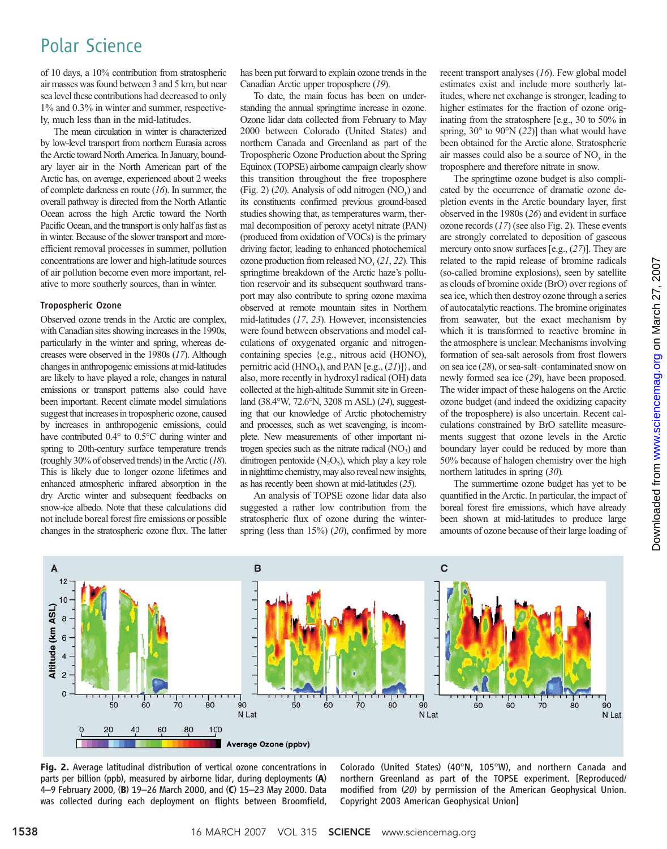# Polar Science

of 10 days, a 10% contribution from stratospheric air masses was found between 3 and 5 km, but near sea level these contributions had decreased to only 1% and 0.3% in winter and summer, respectively, much less than in the mid-latitudes.

The mean circulation in winter is characterized by low-level transport from northern Eurasia across the Arctic toward North America. In January, boundary layer air in the North American part of the Arctic has, on average, experienced about 2 weeks of complete darkness en route (16). In summer, the overall pathway is directed from the North Atlantic Ocean across the high Arctic toward the North Pacific Ocean, and the transport is only half as fast as in winter. Because of the slower transport and moreefficient removal processes in summer, pollution concentrations are lower and high-latitude sources of air pollution become even more important, relative to more southerly sources, than in winter.

# Tropospheric Ozone

Observed ozone trends in the Arctic are complex, with Canadian sites showing increases in the 1990s, particularly in the winter and spring, whereas decreases were observed in the 1980s (17). Although changes in anthropogenic emissions at mid-latitudes are likely to have played a role, changes in natural emissions or transport patterns also could have been important. Recent climate model simulations suggest that increases in tropospheric ozone, caused by increases in anthropogenic emissions, could have contributed 0.4° to 0.5°C during winter and spring to 20th-century surface temperature trends (roughly 30% of observed trends) in the Arctic (18). This is likely due to longer ozone lifetimes and enhanced atmospheric infrared absorption in the dry Arctic winter and subsequent feedbacks on snow-ice albedo. Note that these calculations did not include boreal forest fire emissions or possible changes in the stratospheric ozone flux. The latter

has been put forward to explain ozone trends in the Canadian Arctic upper troposphere (19).

To date, the main focus has been on understanding the annual springtime increase in ozone. Ozone lidar data collected from February to May 2000 between Colorado (United States) and northern Canada and Greenland as part of the Tropospheric Ozone Production about the Spring Equinox (TOPSE) airborne campaign clearly show this transition throughout the free troposphere (Fig. 2) (20). Analysis of odd nitrogen  $(NO<sub>v</sub>)$  and its constituents confirmed previous ground-based studies showing that, as temperatures warm, thermal decomposition of peroxy acetyl nitrate (PAN) (produced from oxidation of VOCs) is the primary driving factor, leading to enhanced photochemical ozone production from released  $NO<sub>x</sub>(21, 22)$ . This springtime breakdown of the Arctic haze's pollution reservoir and its subsequent southward transport may also contribute to spring ozone maxima observed at remote mountain sites in Northern mid-latitudes (17, 23). However, inconsistencies were found between observations and model calculations of oxygenated organic and nitrogencontaining species {e.g., nitrous acid (HONO), pernitric acid (HNO<sub>4</sub>), and PAN [e.g., (21)]}, and also, more recently in hydroxyl radical (OH) data collected at the high-altitude Summit site in Greenland (38.4°W, 72.6°N, 3208 m ASL) (24), suggesting that our knowledge of Arctic photochemistry and processes, such as wet scavenging, is incomplete. New measurements of other important nitrogen species such as the nitrate radical  $(NO<sub>3</sub>)$  and dinitrogen pentoxide  $(N_2O_5)$ , which play a key role in nighttime chemistry, may also reveal new insights, as has recently been shown at mid-latitudes (25).

An analysis of TOPSE ozone lidar data also suggested a rather low contribution from the stratospheric flux of ozone during the winterspring (less than  $15\%$ ) (20), confirmed by more recent transport analyses (16). Few global model estimates exist and include more southerly latitudes, where net exchange is stronger, leading to higher estimates for the fraction of ozone originating from the stratosphere [e.g., 30 to 50% in spring,  $30^{\circ}$  to  $90^{\circ}$ N (22)] than what would have been obtained for the Arctic alone. Stratospheric air masses could also be a source of  $NO<sub>v</sub>$  in the troposphere and therefore nitrate in snow.

The springtime ozone budget is also complicated by the occurrence of dramatic ozone depletion events in the Arctic boundary layer, first observed in the 1980s (26) and evident in surface ozone records  $(17)$  (see also Fig. 2). These events are strongly correlated to deposition of gaseous mercury onto snow surfaces [e.g., (27)]. They are related to the rapid release of bromine radicals (so-called bromine explosions), seen by satellite as clouds of bromine oxide (BrO) over regions of sea ice, which then destroy ozone through a series of autocatalytic reactions. The bromine originates from seawater, but the exact mechanism by which it is transformed to reactive bromine in the atmosphere is unclear. Mechanisms involving formation of sea-salt aerosols from frost flowers on sea ice (28), or sea-salt–contaminated snow on newly formed sea ice (29), have been proposed. The wider impact of these halogens on the Arctic ozone budget (and indeed the oxidizing capacity of the troposphere) is also uncertain. Recent calculations constrained by BrO satellite measurements suggest that ozone levels in the Arctic boundary layer could be reduced by more than 50% because of halogen chemistry over the high northern latitudes in spring (30).

The summertime ozone budget has yet to be quantified in the Arctic. In particular, the impact of boreal forest fire emissions, which have already been shown at mid-latitudes to produce large amounts of ozone because of their large loading of





Fig. 2. Average latitudinal distribution of vertical ozone concentrations in parts per billion (ppb), measured by airborne lidar, during deployments (A) <sup>4</sup>–9 February 2000, (B) 19–26 March 2000, and (C) 15–23 May 2000. Data was collected during each deployment on flights between Broomfield,

Colorado (United States) (40°N, 105°W), and northern Canada and northern Greenland as part of the TOPSE experiment. [Reproduced/ modified from (20) by permission of the American Geophysical Union. Copyright 2003 American Geophysical Union]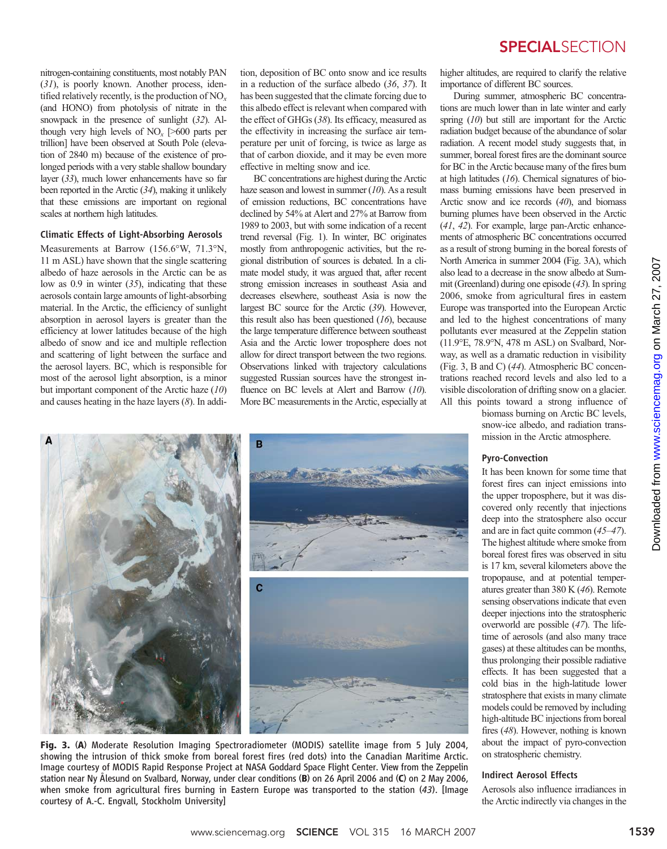nitrogen-containing constituents, most notably PAN (31), is poorly known. Another process, identified relatively recently, is the production of  $NO<sub>x</sub>$ (and HONO) from photolysis of nitrate in the snowpack in the presence of sunlight (32). Although very high levels of  $NO<sub>x</sub>$  [>600 parts per trillion] have been observed at South Pole (elevation of 2840 m) because of the existence of prolonged periods with a very stable shallow boundary layer (33), much lower enhancements have so far been reported in the Arctic (34), making it unlikely that these emissions are important on regional scales at northern high latitudes.

# Climatic Effects of Light-Absorbing Aerosols

Measurements at Barrow (156.6°W, 71.3°N, 11 m ASL) have shown that the single scattering albedo of haze aerosols in the Arctic can be as low as 0.9 in winter (35), indicating that these aerosols contain large amounts of light-absorbing material. In the Arctic, the efficiency of sunlight absorption in aerosol layers is greater than the efficiency at lower latitudes because of the high albedo of snow and ice and multiple reflection and scattering of light between the surface and the aerosol layers. BC, which is responsible for most of the aerosol light absorption, is a minor but important component of the Arctic haze (10) and causes heating in the haze layers  $(8)$ . In addition, deposition of BC onto snow and ice results in a reduction of the surface albedo (36, 37). It has been suggested that the climate forcing due to this albedo effect is relevant when compared with the effect of GHGs (38). Its efficacy, measured as the effectivity in increasing the surface air temperature per unit of forcing, is twice as large as that of carbon dioxide, and it may be even more effective in melting snow and ice.

BC concentrations are highest during the Arctic haze season and lowest in summer  $(10)$ . As a result of emission reductions, BC concentrations have declined by 54% at Alert and 27% at Barrow from 1989 to 2003, but with some indication of a recent trend reversal (Fig. 1). In winter, BC originates mostly from anthropogenic activities, but the regional distribution of sources is debated. In a climate model study, it was argued that, after recent strong emission increases in southeast Asia and decreases elsewhere, southeast Asia is now the largest BC source for the Arctic (39). However, this result also has been questioned  $(16)$ , because the large temperature difference between southeast Asia and the Arctic lower troposphere does not allow for direct transport between the two regions. Observations linked with trajectory calculations suggested Russian sources have the strongest influence on BC levels at Alert and Barrow (10). More BC measurements in the Arctic, especially at

# **SPECIALSECTION**

higher altitudes, are required to clarify the relative importance of different BC sources.

During summer, atmospheric BC concentrations are much lower than in late winter and early spring  $(10)$  but still are important for the Arctic radiation budget because of the abundance of solar radiation. A recent model study suggests that, in summer, boreal forest fires are the dominant source for BC in the Arctic because many of the fires burn at high latitudes  $(16)$ . Chemical signatures of biomass burning emissions have been preserved in Arctic snow and ice records (40), and biomass burning plumes have been observed in the Arctic (41, 42). For example, large pan-Arctic enhancements of atmospheric BC concentrations occurred as a result of strong burning in the boreal forests of North America in summer 2004 (Fig. 3A), which also lead to a decrease in the snow albedo at Summit (Greenland) during one episode (43). In spring 2006, smoke from agricultural fires in eastern Europe was transported into the European Arctic and led to the highest concentrations of many pollutants ever measured at the Zeppelin station (11.9°E, 78.9°N, 478 m ASL) on Svalbard, Norway, as well as a dramatic reduction in visibility (Fig. 3, B and C) (44). Atmospheric BC concentrations reached record levels and also led to a visible discoloration of drifting snow on a glacier. All this points toward a strong influence of

biomass burning on Arctic BC levels, snow-ice albedo, and radiation transmission in the Arctic atmosphere.

# B c

Fig. 3. (A) Moderate Resolution Imaging Spectroradiometer (MODIS) satellite image from 5 July 2004, showing the intrusion of thick smoke from boreal forest fires (red dots) into the Canadian Maritime Arctic. Image courtesy of MODIS Rapid Response Project at NASA Goddard Space Flight Center. View from the Zeppelin station near Ny Ålesund on Svalbard, Norway, under clear conditions (B) on 26 April 2006 and (C) on 2 May 2006, when smoke from agricultural fires burning in Eastern Europe was transported to the station (43). [Image courtesy of A.-C. Engvall, Stockholm University]

## Pyro-Convection

It has been known for some time that forest fires can inject emissions into the upper troposphere, but it was discovered only recently that injections deep into the stratosphere also occur and are in fact quite common (45–47). The highest altitude where smoke from boreal forest fires was observed in situ is 17 km, several kilometers above the tropopause, and at potential temperatures greater than 380 K (46). Remote sensing observations indicate that even deeper injections into the stratospheric overworld are possible (47). The lifetime of aerosols (and also many trace gases) at these altitudes can be months, thus prolonging their possible radiative effects. It has been suggested that a cold bias in the high-latitude lower stratosphere that exists in many climate models could be removed by including high-altitude BC injections from boreal fires (48). However, nothing is known about the impact of pyro-convection on stratospheric chemistry.

## Indirect Aerosol Effects

Aerosols also influence irradiances in the Arctic indirectly via changes in the